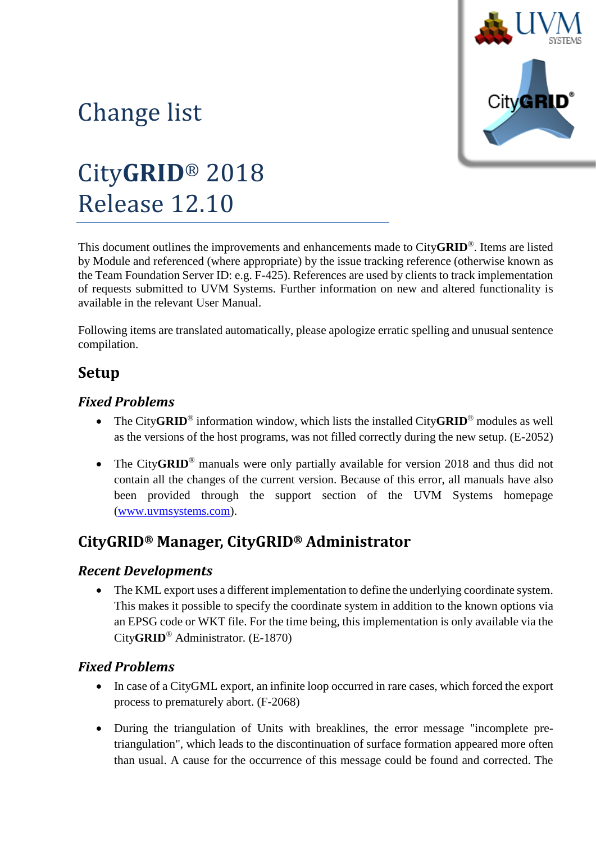

# Change list

# City**GRID**® 2018 Release 12.10

This document outlines the improvements and enhancements made to City**GRID**®. Items are listed by Module and referenced (where appropriate) by the issue tracking reference (otherwise known as the Team Foundation Server ID: e.g. F-425). References are used by clients to track implementation of requests submitted to UVM Systems. Further information on new and altered functionality is available in the relevant User Manual.

Following items are translated automatically, please apologize erratic spelling and unusual sentence compilation.

## **Setup**

## *Fixed Problems*

- The City**GRID**® information window, which lists the installed City**GRID**® modules as well as the versions of the host programs, was not filled correctly during the new setup. (E-2052)
- The City**GRID**<sup>®</sup> manuals were only partially available for version 2018 and thus did not contain all the changes of the current version. Because of this error, all manuals have also been provided through the support section of the UVM Systems homepage [\(www.uvmsystems.com\)](http://www.uvmsystems.com/).

## **CityGRID® Manager, CityGRID® Administrator**

#### *Recent Developments*

• The KML export uses a different implementation to define the underlying coordinate system. This makes it possible to specify the coordinate system in addition to the known options via an EPSG code or WKT file. For the time being, this implementation is only available via the City**GRID**® Administrator. (E-1870)

## *Fixed Problems*

- In case of a CityGML export, an infinite loop occurred in rare cases, which forced the export process to prematurely abort. (F-2068)
- During the triangulation of Units with breaklines, the error message "incomplete pretriangulation", which leads to the discontinuation of surface formation appeared more often than usual. A cause for the occurrence of this message could be found and corrected. The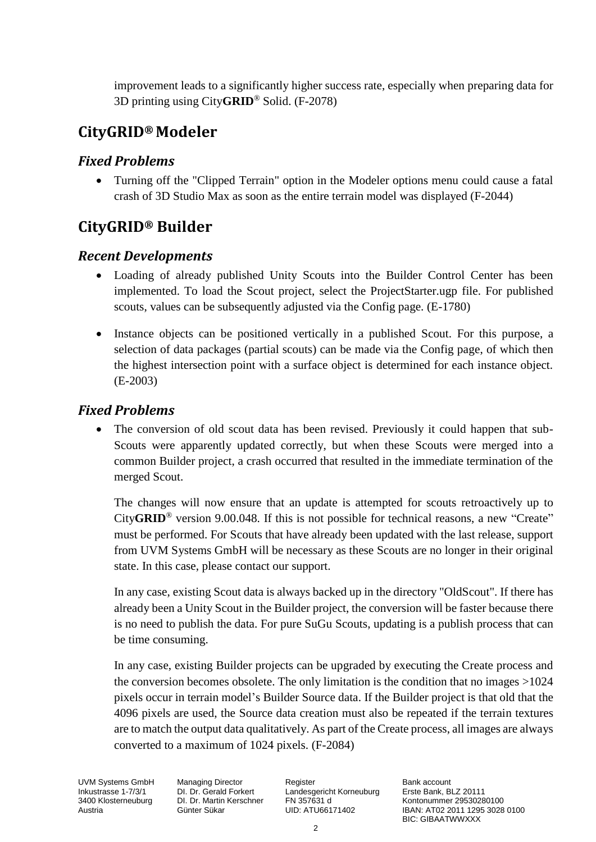improvement leads to a significantly higher success rate, especially when preparing data for 3D printing using City**GRID**® Solid. (F-2078)

## **CityGRID® Modeler**

## *Fixed Problems*

• Turning off the "Clipped Terrain" option in the Modeler options menu could cause a fatal crash of 3D Studio Max as soon as the entire terrain model was displayed (F-2044)

## **CityGRID® Builder**

## *Recent Developments*

- Loading of already published Unity Scouts into the Builder Control Center has been implemented. To load the Scout project, select the ProjectStarter.ugp file. For published scouts, values can be subsequently adjusted via the Config page. (E-1780)
- Instance objects can be positioned vertically in a published Scout. For this purpose, a selection of data packages (partial scouts) can be made via the Config page, of which then the highest intersection point with a surface object is determined for each instance object. (E-2003)

## *Fixed Problems*

The conversion of old scout data has been revised. Previously it could happen that sub-Scouts were apparently updated correctly, but when these Scouts were merged into a common Builder project, a crash occurred that resulted in the immediate termination of the merged Scout.

The changes will now ensure that an update is attempted for scouts retroactively up to City**GRID**® version 9.00.048. If this is not possible for technical reasons, a new "Create" must be performed. For Scouts that have already been updated with the last release, support from UVM Systems GmbH will be necessary as these Scouts are no longer in their original state. In this case, please contact our support.

In any case, existing Scout data is always backed up in the directory "OldScout". If there has already been a Unity Scout in the Builder project, the conversion will be faster because there is no need to publish the data. For pure SuGu Scouts, updating is a publish process that can be time consuming.

In any case, existing Builder projects can be upgraded by executing the Create process and the conversion becomes obsolete. The only limitation is the condition that no images >1024 pixels occur in terrain model's Builder Source data. If the Builder project is that old that the 4096 pixels are used, the Source data creation must also be repeated if the terrain textures are to match the output data qualitatively. As part of the Create process, all images are always converted to a maximum of 1024 pixels. (F-2084)

UVM Systems GmbH Managing Director Register Register Bank account<br>
Inkustrasse 1-7/3/1 DI. Dr. Gerald Forkert Landesgericht Korneuburg Erste Bank, BLZ 20111 Inkustrasse 1-7/3/1 DI. Dr. Gerald Forkert Landesgericht Korneuburg 3400 Klosterneuburg DI. Dr. Martin Kerschner FN 357631 d

500 Kontonummer 29530280100 Kontonummer 29530280100<br>UID: ATU66171402 (BAN: AT02 2011 1295 3028 Austria Günter Sükar UID: ATU66171402 IBAN: AT02 2011 1295 3028 0100 BIC: GIBAATWWXXX